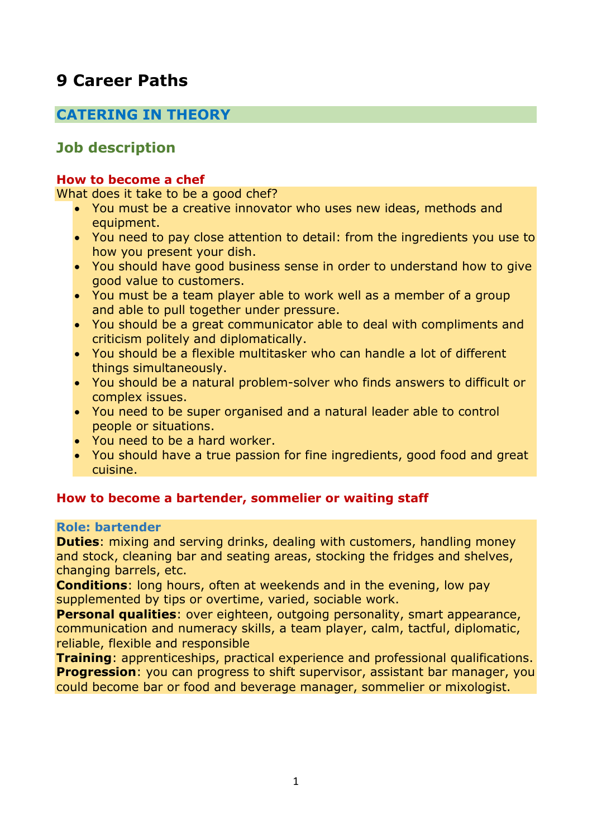# **9 Career Paths**

## **CATERING IN THEORY**

## **Job description**

## **How to become a chef**

What does it take to be a good chef?

- You must be a creative innovator who uses new ideas, methods and equipment.
- You need to pay close attention to detail: from the ingredients you use to how you present your dish.
- You should have good business sense in order to understand how to give good value to customers.
- You must be a team player able to work well as a member of a group and able to pull together under pressure.
- You should be a great communicator able to deal with compliments and criticism politely and diplomatically.
- You should be a flexible multitasker who can handle a lot of different things simultaneously.
- You should be a natural problem-solver who finds answers to difficult or complex issues.
- You need to be super organised and a natural leader able to control people or situations.
- You need to be a hard worker.
- You should have a true passion for fine ingredients, good food and great cuisine.

## **How to become a bartender, sommelier or waiting staff**

## **Role: bartender**

**Duties:** mixing and serving drinks, dealing with customers, handling money and stock, cleaning bar and seating areas, stocking the fridges and shelves, changing barrels, etc.

**Conditions**: long hours, often at weekends and in the evening, low pay supplemented by tips or overtime, varied, sociable work.

**Personal qualities**: over eighteen, outgoing personality, smart appearance, communication and numeracy skills, a team player, calm, tactful, diplomatic, reliable, flexible and responsible

**Training**: apprenticeships, practical experience and professional qualifications. **Progression:** you can progress to shift supervisor, assistant bar manager, you could become bar or food and beverage manager, sommelier or mixologist.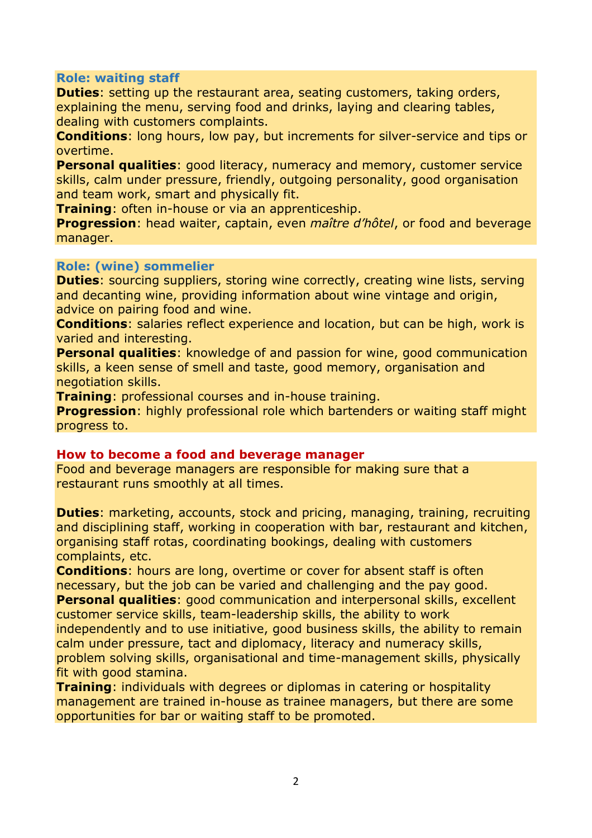#### **Role: waiting staff**

**Duties**: setting up the restaurant area, seating customers, taking orders, explaining the menu, serving food and drinks, laying and clearing tables, dealing with customers complaints.

**Conditions**: long hours, low pay, but increments for silver-service and tips or overtime.

**Personal qualities:** good literacy, numeracy and memory, customer service skills, calm under pressure, friendly, outgoing personality, good organisation and team work, smart and physically fit.

**Training**: often in-house or via an apprenticeship.

**Progression**: head waiter, captain, even *maître d'hôtel*, or food and beverage manager.

#### **Role: (wine) sommelier**

**Duties:** sourcing suppliers, storing wine correctly, creating wine lists, serving and decanting wine, providing information about wine vintage and origin, advice on pairing food and wine.

**Conditions**: salaries reflect experience and location, but can be high, work is varied and interesting.

**Personal qualities**: knowledge of and passion for wine, good communication skills, a keen sense of smell and taste, good memory, organisation and negotiation skills.

**Training**: professional courses and in-house training.

**Progression:** highly professional role which bartenders or waiting staff might progress to.

#### **How to become a food and beverage manager**

Food and beverage managers are responsible for making sure that a restaurant runs smoothly at all times.

**Duties**: marketing, accounts, stock and pricing, managing, training, recruiting and disciplining staff, working in cooperation with bar, restaurant and kitchen, organising staff rotas, coordinating bookings, dealing with customers complaints, etc.

**Conditions**: hours are long, overtime or cover for absent staff is often necessary, but the job can be varied and challenging and the pay good.

**Personal qualities**: good communication and interpersonal skills, excellent customer service skills, team-leadership skills, the ability to work independently and to use initiative, good business skills, the ability to remain calm under pressure, tact and diplomacy, literacy and numeracy skills, problem solving skills, organisational and time-management skills, physically fit with good stamina.

**Training**: individuals with degrees or diplomas in catering or hospitality management are trained in-house as trainee managers, but there are some opportunities for bar or waiting staff to be promoted.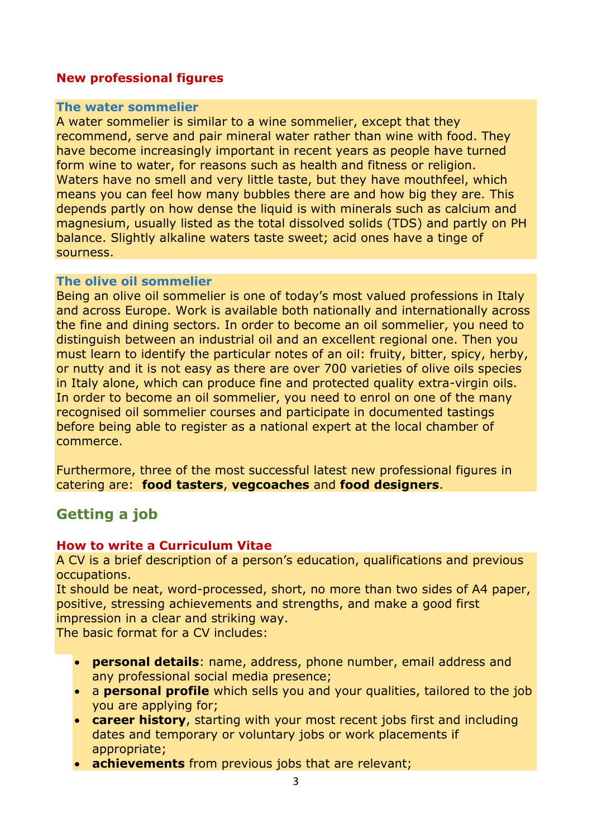## **New professional figures**

#### **The water sommelier**

A water sommelier is similar to a wine sommelier, except that they recommend, serve and pair mineral water rather than wine with food. They have become increasingly important in recent years as people have turned form wine to water, for reasons such as health and fitness or religion. Waters have no smell and very little taste, but they have mouthfeel, which means you can feel how many bubbles there are and how big they are. This depends partly on how dense the liquid is with minerals such as calcium and magnesium, usually listed as the total dissolved solids (TDS) and partly on PH balance. Slightly alkaline waters taste sweet; acid ones have a tinge of sourness.

#### **The olive oil sommelier**

Being an olive oil sommelier is one of today's most valued professions in Italy and across Europe. Work is available both nationally and internationally across the fine and dining sectors. In order to become an oil sommelier, you need to distinguish between an industrial oil and an excellent regional one. Then you must learn to identify the particular notes of an oil: fruity, bitter, spicy, herby, or nutty and it is not easy as there are over 700 varieties of olive oils species in Italy alone, which can produce fine and protected quality extra-virgin oils. In order to become an oil sommelier, you need to enrol on one of the many recognised oil sommelier courses and participate in documented tastings before being able to register as a national expert at the local chamber of commerce.

Furthermore, three of the most successful latest new professional figures in catering are: **food tasters**, **vegcoaches** and **food designers**.

## **Getting a job**

#### **How to write a Curriculum Vitae**

A CV is a brief description of a person's education, qualifications and previous occupations.

It should be neat, word-processed, short, no more than two sides of A4 paper, positive, stressing achievements and strengths, and make a good first impression in a clear and striking way.

The basic format for a CV includes:

- **personal details**: name, address, phone number, email address and any professional social media presence;
- a **personal profile** which sells you and your qualities, tailored to the job you are applying for;
- **career history**, starting with your most recent jobs first and including dates and temporary or voluntary jobs or work placements if appropriate;
- **achievements** from previous jobs that are relevant;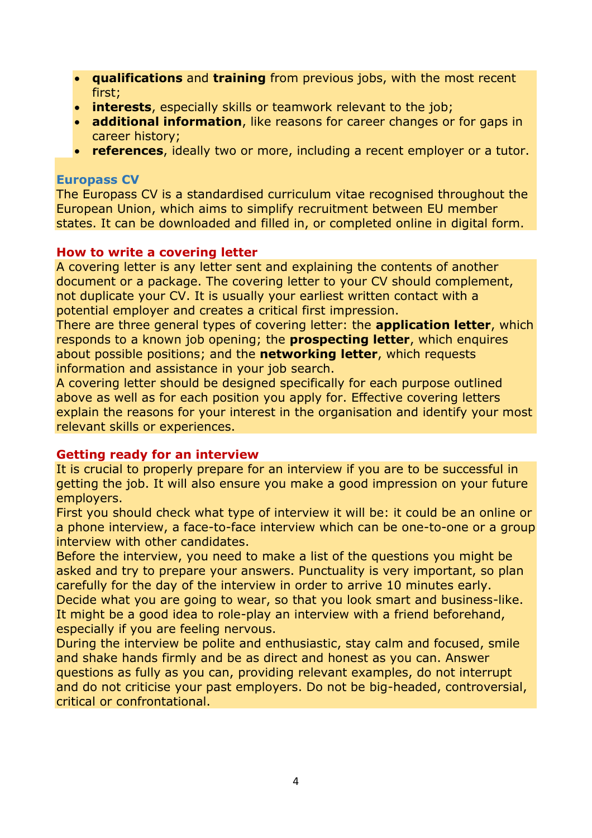- **qualifications** and **training** from previous jobs, with the most recent first;
- **interests**, especially skills or teamwork relevant to the job;
- **additional information**, like reasons for career changes or for gaps in career history;
- **references**, ideally two or more, including a recent employer or a tutor.

#### **Europass CV**

The Europass CV is a standardised curriculum vitae recognised throughout the European Union, which aims to simplify recruitment between EU member states. It can be downloaded and filled in, or completed online in digital form.

## **How to write a covering letter**

A covering letter is any letter sent and explaining the contents of another document or a package. The covering letter to your CV should complement, not duplicate your CV. It is usually your earliest written contact with a potential employer and creates a critical first impression.

There are three general types of covering letter: the **application letter**, which responds to a known job opening; the **prospecting letter**, which enquires about possible positions; and the **networking letter**, which requests information and assistance in your job search.

A covering letter should be designed specifically for each purpose outlined above as well as for each position you apply for. Effective covering letters explain the reasons for your interest in the organisation and identify your most relevant skills or experiences.

## **Getting ready for an interview**

It is crucial to properly prepare for an interview if you are to be successful in getting the job. It will also ensure you make a good impression on your future employers.

First you should check what type of interview it will be: it could be an online or a phone interview, a face-to-face interview which can be one-to-one or a group interview with other candidates.

Before the interview, you need to make a list of the questions you might be asked and try to prepare your answers. Punctuality is very important, so plan carefully for the day of the interview in order to arrive 10 minutes early.

Decide what you are going to wear, so that you look smart and business-like. It might be a good idea to role-play an interview with a friend beforehand, especially if you are feeling nervous.

During the interview be polite and enthusiastic, stay calm and focused, smile and shake hands firmly and be as direct and honest as you can. Answer questions as fully as you can, providing relevant examples, do not interrupt and do not criticise your past employers. Do not be big-headed, controversial, critical or confrontational.